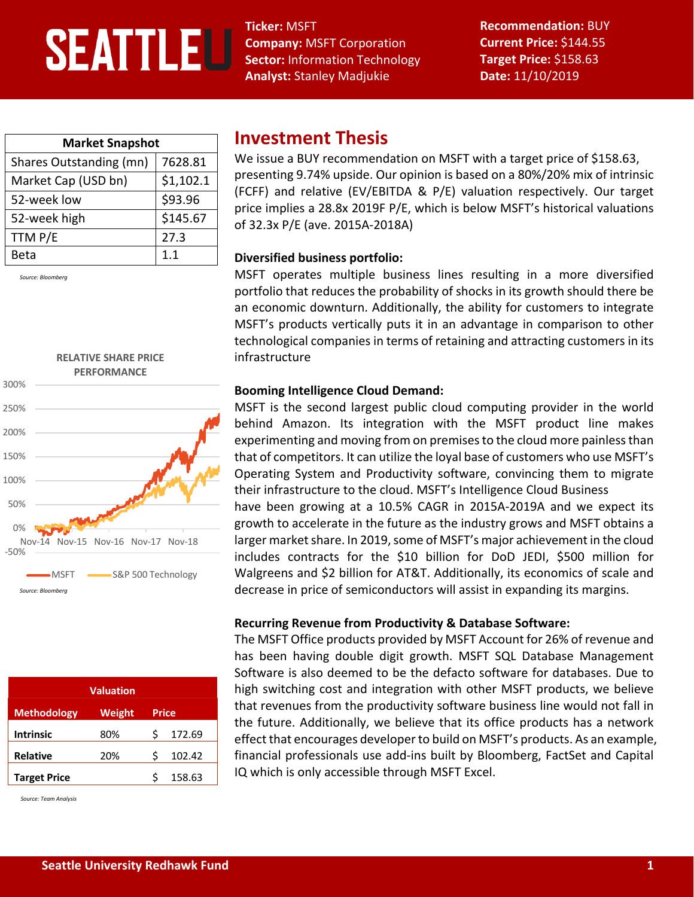# **SEATTLEU**

**Ticker:** MSFT **Company:** MSFT Corporation **Sector:** Information Technology **Analyst:** Stanley Madjukie

**Recommendation:** BUY **Current Price:** \$144.55 **Target Price:** \$158.63 **Date:** 11/10/2019

| <b>Market Snapshot</b>  |           |  |  |  |  |
|-------------------------|-----------|--|--|--|--|
| Shares Outstanding (mn) | 7628.81   |  |  |  |  |
| Market Cap (USD bn)     | \$1,102.1 |  |  |  |  |
| 52-week low             | \$93.96   |  |  |  |  |
| 52-week high            | \$145.67  |  |  |  |  |
| TTM P/E                 | 27.3      |  |  |  |  |
| Beta                    | 1.1       |  |  |  |  |

*Source: Bloomberg*



| <b>Valuation</b>    |        |              |        |  |  |  |
|---------------------|--------|--------------|--------|--|--|--|
| <b>Methodology</b>  | Weight | <b>Price</b> |        |  |  |  |
| <b>Intrinsic</b>    | 80%    |              | 172.69 |  |  |  |
| <b>Relative</b>     | 20%    |              | 102.42 |  |  |  |
| <b>Target Price</b> |        |              | 158.63 |  |  |  |

*Source: Team Analysis*

## **Investment Thesis**

We issue a BUY recommendation on MSFT with a target price of \$158.63, presenting 9.74% upside. Our opinion is based on a 80%/20% mix of intrinsic (FCFF) and relative (EV/EBITDA & P/E) valuation respectively. Our target price implies a 28.8x 2019F P/E, which is below MSFT's historical valuations of 32.3x P/E (ave. 2015A-2018A)

#### **Diversified business portfolio:**

MSFT operates multiple business lines resulting in a more diversified portfolio that reduces the probability of shocks in its growth should there be an economic downturn. Additionally, the ability for customers to integrate MSFT's products vertically puts it in an advantage in comparison to other technological companies in terms of retaining and attracting customers in its infrastructure

#### **Booming Intelligence Cloud Demand:**

MSFT is the second largest public cloud computing provider in the world behind Amazon. Its integration with the MSFT product line makes experimenting and moving from on premises to the cloud more painless than that of competitors. It can utilize the loyal base of customers who use MSFT's Operating System and Productivity software, convincing them to migrate their infrastructure to the cloud. MSFT's Intelligence Cloud Business

have been growing at a 10.5% CAGR in 2015A-2019A and we expect its growth to accelerate in the future as the industry grows and MSFT obtains a larger market share. In 2019, some of MSFT's major achievement in the cloud includes contracts for the \$10 billion for DoD JEDI, \$500 million for Walgreens and \$2 billion for AT&T. Additionally, its economics of scale and decrease in price of semiconductors will assist in expanding its margins.

#### **Recurring Revenue from Productivity & Database Software:**

The MSFT Office products provided by MSFT Account for 26% of revenue and has been having double digit growth. MSFT SQL Database Management Software is also deemed to be the defacto software for databases. Due to high switching cost and integration with other MSFT products, we believe that revenues from the productivity software business line would not fall in the future. Additionally, we believe that its office products has a network effect that encourages developer to build on MSFT's products. As an example, financial professionals use add-ins built by Bloomberg, FactSet and Capital IQ which is only accessible through MSFT Excel.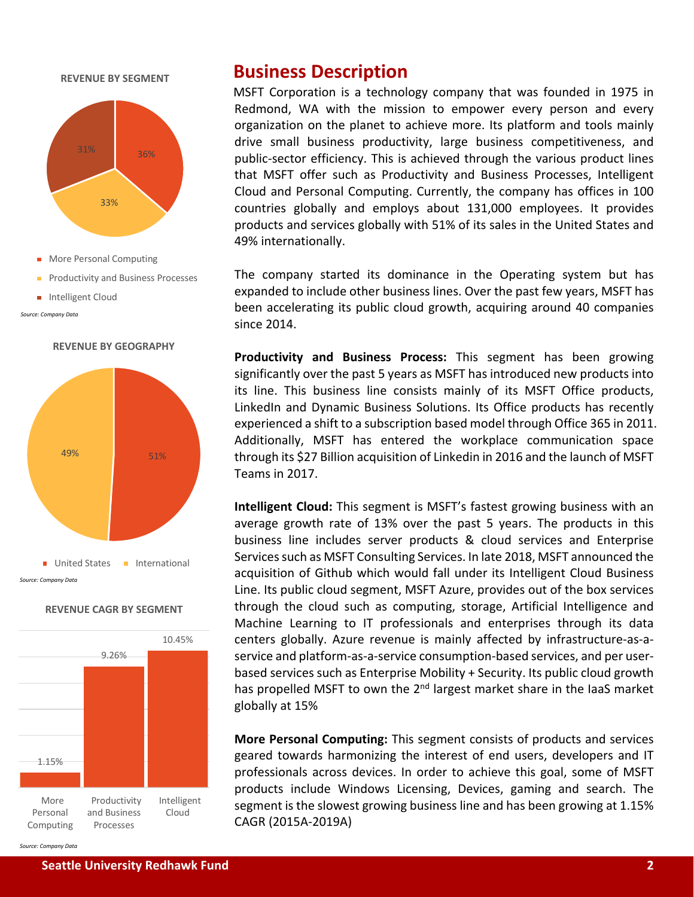

**REVENUE BY SEGMENT**

- **More Personal Computing**
- **Productivity and Business Processes**
- **Intelligent Cloud**

*Source: Company Data*



# **REVENUE CAGR BY SEGMENT**



## **Business Description**

MSFT Corporation is a technology company that was founded in 1975 in Redmond, WA with the mission to empower every person and every organization on the planet to achieve more. Its platform and tools mainly drive small business productivity, large business competitiveness, and public-sector efficiency. This is achieved through the various product lines that MSFT offer such as Productivity and Business Processes, Intelligent Cloud and Personal Computing. Currently, the company has offices in 100 countries globally and employs about 131,000 employees. It provides products and services globally with 51% of its sales in the United States and 49% internationally.

The company started its dominance in the Operating system but has expanded to include other business lines. Over the past few years, MSFT has been accelerating its public cloud growth, acquiring around 40 companies since 2014.

**Productivity and Business Process:** This segment has been growing significantly over the past 5 years as MSFT has introduced new products into its line. This business line consists mainly of its MSFT Office products, LinkedIn and Dynamic Business Solutions. Its Office products has recently experienced a shift to a subscription based model through Office 365 in 2011. Additionally, MSFT has entered the workplace communication space through its \$27 Billion acquisition of Linkedin in 2016 and the launch of MSFT Teams in 2017.

**Intelligent Cloud:** This segment is MSFT's fastest growing business with an average growth rate of 13% over the past 5 years. The products in this business line includes server products & cloud services and Enterprise Services such as MSFT Consulting Services. In late 2018, MSFT announced the acquisition of Github which would fall under its Intelligent Cloud Business Line. Its public cloud segment, MSFT Azure, provides out of the box services through the cloud such as computing, storage, Artificial Intelligence and Machine Learning to IT professionals and enterprises through its data centers globally. Azure revenue is mainly affected by infrastructure-as-aservice and platform-as-a-service consumption-based services, and per userbased services such as Enterprise Mobility + Security. Its public cloud growth has propelled MSFT to own the 2<sup>nd</sup> largest market share in the IaaS market globally at 15%

**More Personal Computing:** This segment consists of products and services geared towards harmonizing the interest of end users, developers and IT professionals across devices. In order to achieve this goal, some of MSFT products include Windows Licensing, Devices, gaming and search. The segment is the slowest growing business line and has been growing at 1.15% CAGR (2015A-2019A)

*Source: Company Data*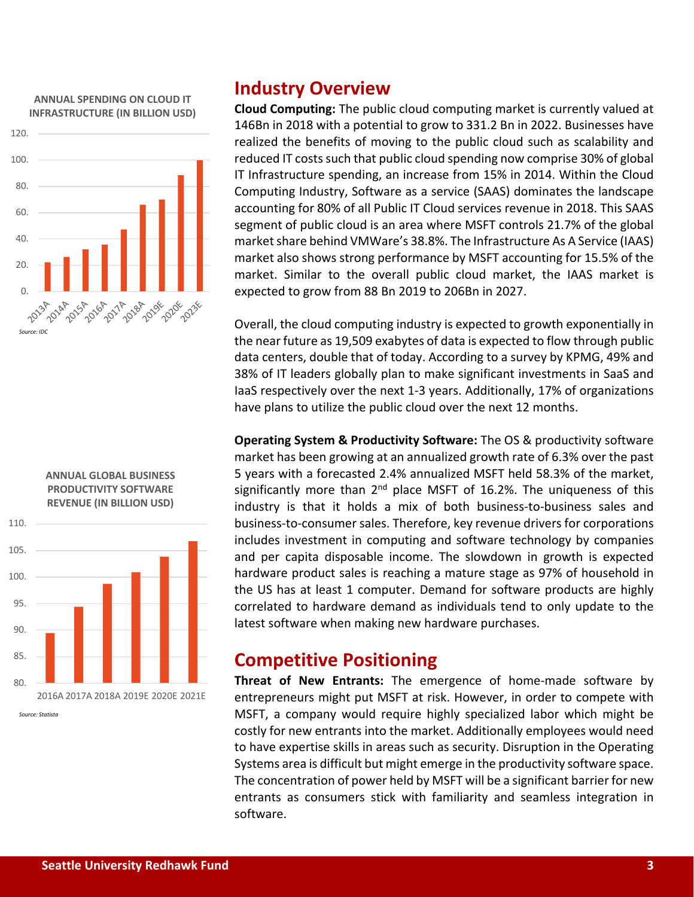#### **ANNUAL SPENDING ON CLOUD IT INFRASTRUCTURE (IN BILLION USD)**





*Source: Statista*

## **Industry Overview**

**Cloud Computing:** The public cloud computing market is currently valued at 146Bn in 2018 with a potential to grow to 331.2 Bn in 2022. Businesses have realized the benefits of moving to the public cloud such as scalability and reduced IT costs such that public cloud spending now comprise 30% of global IT Infrastructure spending, an increase from 15% in 2014. Within the Cloud Computing Industry, Software as a service (SAAS) dominates the landscape accounting for 80% of all Public IT Cloud services revenue in 2018. This SAAS segment of public cloud is an area where MSFT controls 21.7% of the global market share behind VMWare's 38.8%. The Infrastructure As A Service (IAAS) market also shows strong performance by MSFT accounting for 15.5% of the market. Similar to the overall public cloud market, the IAAS market is expected to grow from 88 Bn 2019 to 206Bn in 2027.

Overall, the cloud computing industry is expected to growth exponentially in the near future as 19,509 exabytes of data is expected to flow through public data centers, double that of today. According to a survey by KPMG, 49% and 38% of IT leaders globally plan to make significant investments in SaaS and IaaS respectively over the next 1-3 years. Additionally, 17% of organizations have plans to utilize the public cloud over the next 12 months.

**Operating System & Productivity Software:** The OS & productivity software market has been growing at an annualized growth rate of 6.3% over the past 5 years with a forecasted 2.4% annualized MSFT held 58.3% of the market, significantly more than  $2^{nd}$  place MSFT of 16.2%. The uniqueness of this industry is that it holds a mix of both business-to-business sales and business-to-consumer sales. Therefore, key revenue drivers for corporations includes investment in computing and software technology by companies and per capita disposable income. The slowdown in growth is expected hardware product sales is reaching a mature stage as 97% of household in the US has at least 1 computer. Demand for software products are highly correlated to hardware demand as individuals tend to only update to the latest software when making new hardware purchases.

## **Competitive Positioning**

**Threat of New Entrants:** The emergence of home-made software by entrepreneurs might put MSFT at risk. However, in order to compete with MSFT, a company would require highly specialized labor which might be costly for new entrants into the market. Additionally employees would need to have expertise skills in areas such as security. Disruption in the Operating Systems area is difficult but might emerge in the productivity software space. The concentration of power held by MSFT will be a significant barrier for new entrants as consumers stick with familiarity and seamless integration in software.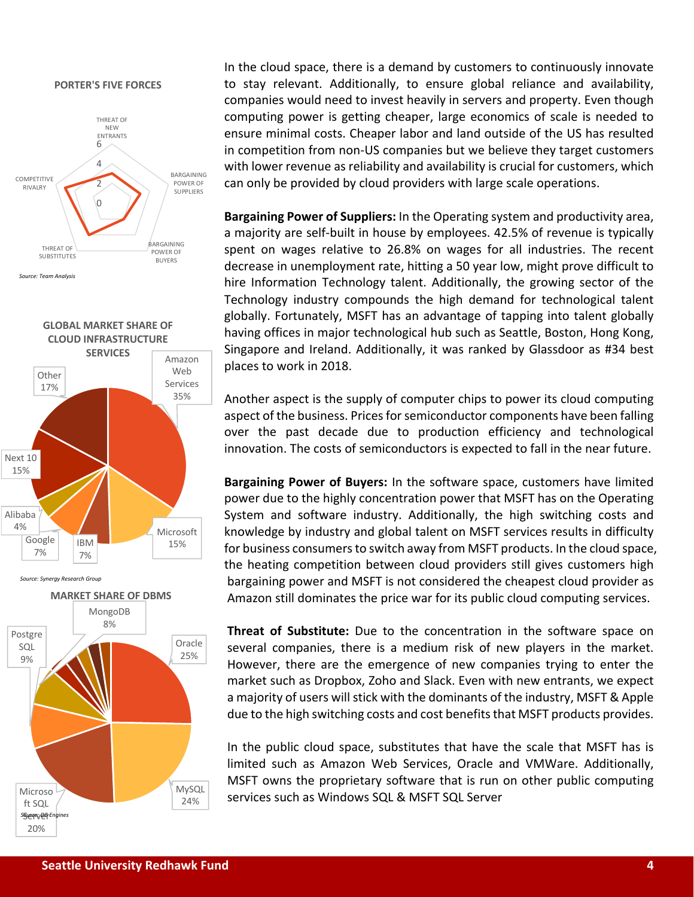#### **PORTER'S FIVE FORCES**



*Source: Team Analysis*







In the cloud space, there is a demand by customers to continuously innovate to stay relevant. Additionally, to ensure global reliance and availability, companies would need to invest heavily in servers and property. Even though computing power is getting cheaper, large economics of scale is needed to ensure minimal costs. Cheaper labor and land outside of the US has resulted in competition from non-US companies but we believe they target customers with lower revenue as reliability and availability is crucial for customers, which can only be provided by cloud providers with large scale operations.

**Bargaining Power of Suppliers:** In the Operating system and productivity area, a majority are self-built in house by employees. 42.5% of revenue is typically spent on wages relative to 26.8% on wages for all industries. The recent decrease in unemployment rate, hitting a 50 year low, might prove difficult to hire Information Technology talent. Additionally, the growing sector of the Technology industry compounds the high demand for technological talent globally. Fortunately, MSFT has an advantage of tapping into talent globally having offices in major technological hub such as Seattle, Boston, Hong Kong, Singapore and Ireland. Additionally, it was ranked by Glassdoor as #34 best places to work in 2018.

Another aspect is the supply of computer chips to power its cloud computing aspect of the business. Prices for semiconductor components have been falling over the past decade due to production efficiency and technological innovation. The costs of semiconductors is expected to fall in the near future.

**Bargaining Power of Buyers:** In the software space, customers have limited power due to the highly concentration power that MSFT has on the Operating System and software industry. Additionally, the high switching costs and knowledge by industry and global talent on MSFT services results in difficulty for business consumers to switch away from MSFT products. In the cloud space, the heating competition between cloud providers still gives customers high bargaining power and MSFT is not considered the cheapest cloud provider as Amazon still dominates the price war for its public cloud computing services.

**Threat of Substitute:** Due to the concentration in the software space on several companies, there is a medium risk of new players in the market. However, there are the emergence of new companies trying to enter the market such as Dropbox, Zoho and Slack. Even with new entrants, we expect a majority of users will stick with the dominants of the industry, MSFT & Apple due to the high switching costs and cost benefits that MSFT products provides.

In the public cloud space, substitutes that have the scale that MSFT has is limited such as Amazon Web Services, Oracle and VMWare. Additionally, MSFT owns the proprietary software that is run on other public computing services such as Windows SQL & MSFT SQL Server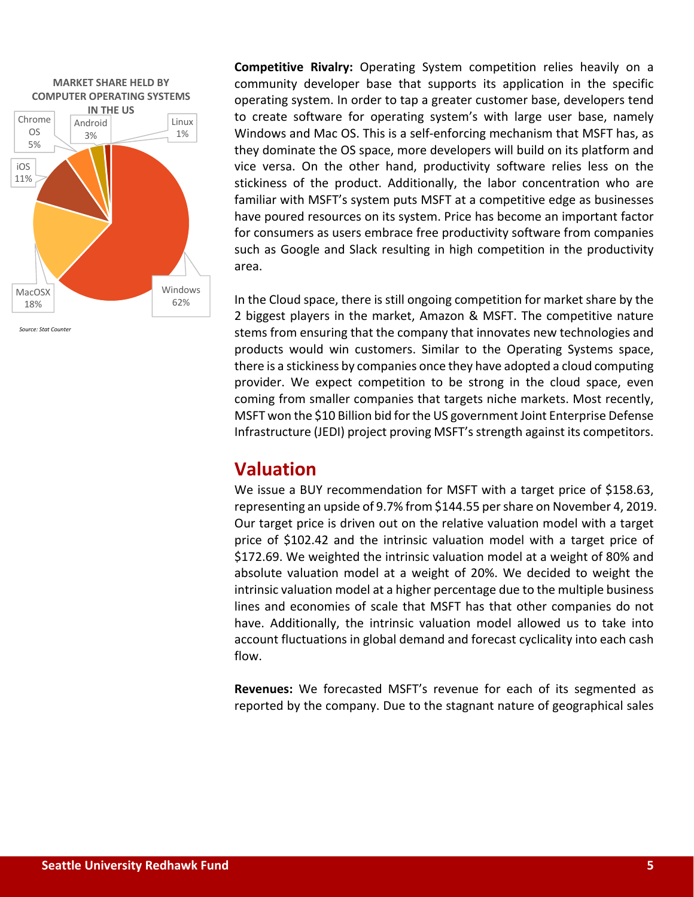

*Source: Stat Counter*

**Competitive Rivalry:** Operating System competition relies heavily on a community developer base that supports its application in the specific operating system. In order to tap a greater customer base, developers tend to create software for operating system's with large user base, namely Windows and Mac OS. This is a self-enforcing mechanism that MSFT has, as they dominate the OS space, more developers will build on its platform and vice versa. On the other hand, productivity software relies less on the stickiness of the product. Additionally, the labor concentration who are familiar with MSFT's system puts MSFT at a competitive edge as businesses have poured resources on its system. Price has become an important factor for consumers as users embrace free productivity software from companies such as Google and Slack resulting in high competition in the productivity area.

In the Cloud space, there is still ongoing competition for market share by the 2 biggest players in the market, Amazon & MSFT. The competitive nature stems from ensuring that the company that innovates new technologies and products would win customers. Similar to the Operating Systems space, there is a stickiness by companies once they have adopted a cloud computing provider. We expect competition to be strong in the cloud space, even coming from smaller companies that targets niche markets. Most recently, MSFT won the \$10 Billion bid for the US government Joint Enterprise Defense Infrastructure (JEDI) project proving MSFT's strength against its competitors.

## **Valuation**

We issue a BUY recommendation for MSFT with a target price of \$158.63, representing an upside of 9.7% from \$144.55 per share on November 4, 2019. Our target price is driven out on the relative valuation model with a target price of \$102.42 and the intrinsic valuation model with a target price of \$172.69. We weighted the intrinsic valuation model at a weight of 80% and absolute valuation model at a weight of 20%. We decided to weight the intrinsic valuation model at a higher percentage due to the multiple business lines and economies of scale that MSFT has that other companies do not have. Additionally, the intrinsic valuation model allowed us to take into account fluctuations in global demand and forecast cyclicality into each cash flow.

**Revenues:** We forecasted MSFT's revenue for each of its segmented as reported by the company. Due to the stagnant nature of geographical sales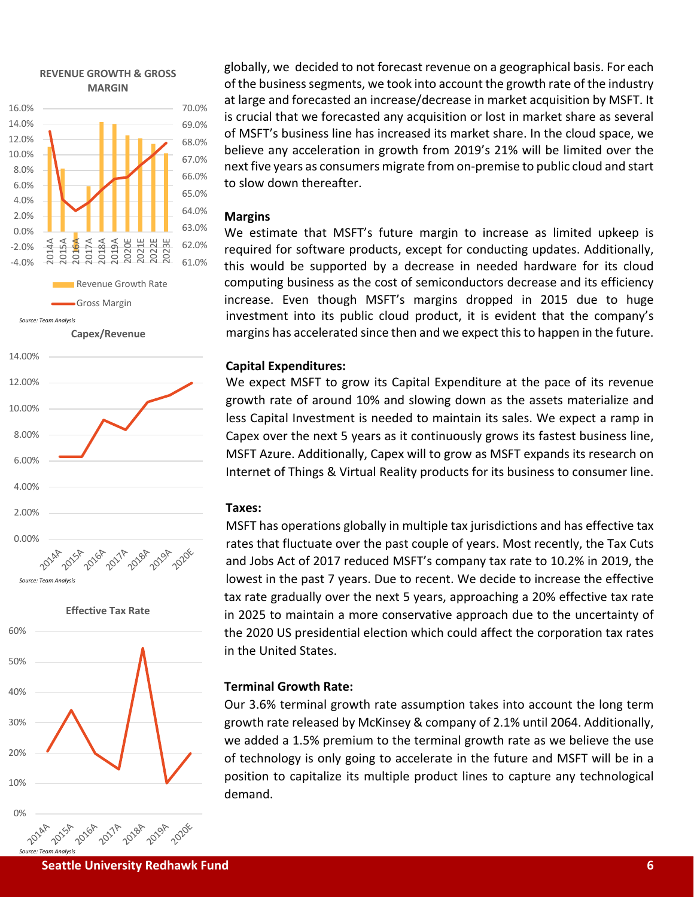





globally, we decided to not forecast revenue on a geographical basis. For each of the business segments, we took into account the growth rate of the industry at large and forecasted an increase/decrease in market acquisition by MSFT. It is crucial that we forecasted any acquisition or lost in market share as several of MSFT's business line has increased its market share. In the cloud space, we believe any acceleration in growth from 2019's 21% will be limited over the next five years as consumers migrate from on-premise to public cloud and start to slow down thereafter.

#### **Margins**

We estimate that MSFT's future margin to increase as limited upkeep is required for software products, except for conducting updates. Additionally, this would be supported by a decrease in needed hardware for its cloud computing business as the cost of semiconductors decrease and its efficiency increase. Even though MSFT's margins dropped in 2015 due to huge investment into its public cloud product, it is evident that the company's margins has accelerated since then and we expect this to happen in the future.

#### **Capital Expenditures:**

We expect MSFT to grow its Capital Expenditure at the pace of its revenue growth rate of around 10% and slowing down as the assets materialize and less Capital Investment is needed to maintain its sales. We expect a ramp in Capex over the next 5 years as it continuously grows its fastest business line, MSFT Azure. Additionally, Capex will to grow as MSFT expands its research on Internet of Things & Virtual Reality products for its business to consumer line.

#### **Taxes:**

MSFT has operations globally in multiple tax jurisdictions and has effective tax rates that fluctuate over the past couple of years. Most recently, the Tax Cuts and Jobs Act of 2017 reduced MSFT's company tax rate to 10.2% in 2019, the lowest in the past 7 years. Due to recent. We decide to increase the effective tax rate gradually over the next 5 years, approaching a 20% effective tax rate in 2025 to maintain a more conservative approach due to the uncertainty of the 2020 US presidential election which could affect the corporation tax rates in the United States.

#### **Terminal Growth Rate:**

Our 3.6% terminal growth rate assumption takes into account the long term growth rate released by McKinsey & company of 2.1% until 2064. Additionally, we added a 1.5% premium to the terminal growth rate as we believe the use of technology is only going to accelerate in the future and MSFT will be in a position to capitalize its multiple product lines to capture any technological demand.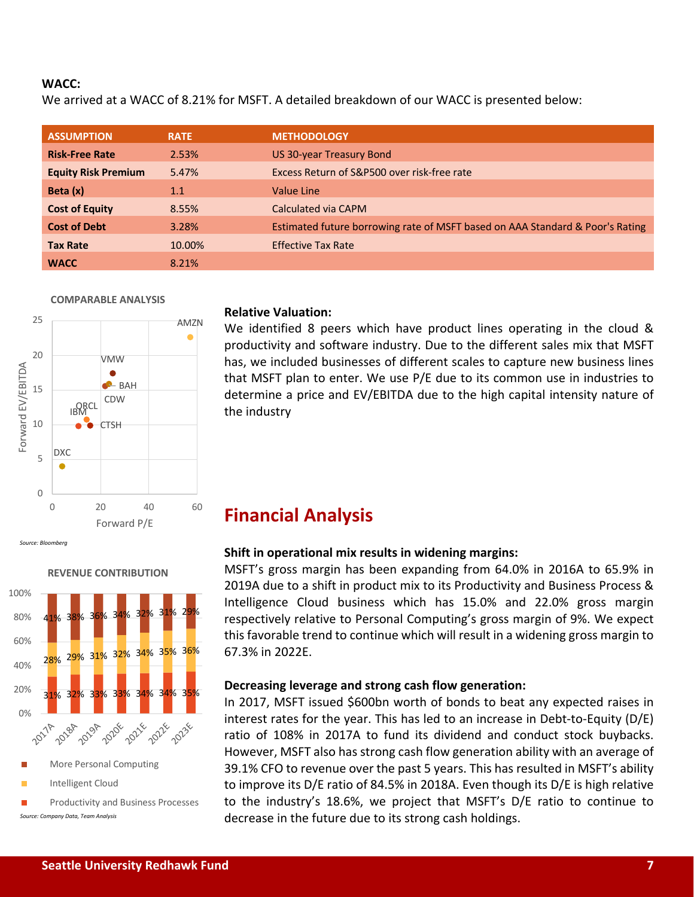#### **WACC:**

We arrived at a WACC of 8.21% for MSFT. A detailed breakdown of our WACC is presented below:

| <b>ASSUMPTION</b>          | <b>RATE</b> | <b>METHODOLOGY</b>                                                            |
|----------------------------|-------------|-------------------------------------------------------------------------------|
| <b>Risk-Free Rate</b>      | 2.53%       | US 30-year Treasury Bond                                                      |
| <b>Equity Risk Premium</b> | 5.47%       | Excess Return of S&P500 over risk-free rate                                   |
| Beta (x)                   | 1.1         | <b>Value Line</b>                                                             |
| <b>Cost of Equity</b>      | 8.55%       | Calculated via CAPM                                                           |
| <b>Cost of Debt</b>        | 3.28%       | Estimated future borrowing rate of MSFT based on AAA Standard & Poor's Rating |
| <b>Tax Rate</b>            | 10.00%      | <b>Effective Tax Rate</b>                                                     |
| <b>WACC</b>                | 8.21%       |                                                                               |

#### **COMPARABLE ANALYSIS**



#### **Relative Valuation:**

We identified 8 peers which have product lines operating in the cloud & productivity and software industry. Due to the different sales mix that MSFT has, we included businesses of different scales to capture new business lines that MSFT plan to enter. We use P/E due to its common use in industries to determine a price and EV/EBITDA due to the high capital intensity nature of the industry

## **Financial Analysis**

#### **Shift in operational mix results in widening margins:**

MSFT's gross margin has been expanding from 64.0% in 2016A to 65.9% in 2019A due to a shift in product mix to its Productivity and Business Process & Intelligence Cloud business which has 15.0% and 22.0% gross margin respectively relative to Personal Computing's gross margin of 9%. We expect this favorable trend to continue which will result in a widening gross margin to 67.3% in 2022E.

#### **Decreasing leverage and strong cash flow generation:**

In 2017, MSFT issued \$600bn worth of bonds to beat any expected raises in interest rates for the year. This has led to an increase in Debt-to-Equity (D/E) ratio of 108% in 2017A to fund its dividend and conduct stock buybacks. However, MSFT also has strong cash flow generation ability with an average of 39.1% CFO to revenue over the past 5 years. This has resulted in MSFT's ability to improve its D/E ratio of 84.5% in 2018A. Even though its D/E is high relative to the industry's 18.6%, we project that MSFT's D/E ratio to continue to decrease in the future due to its strong cash holdings.





- More Personal Computing
- Intelligent Cloud

 Productivity and Business Processes *Source: Company Data, Team Analysis*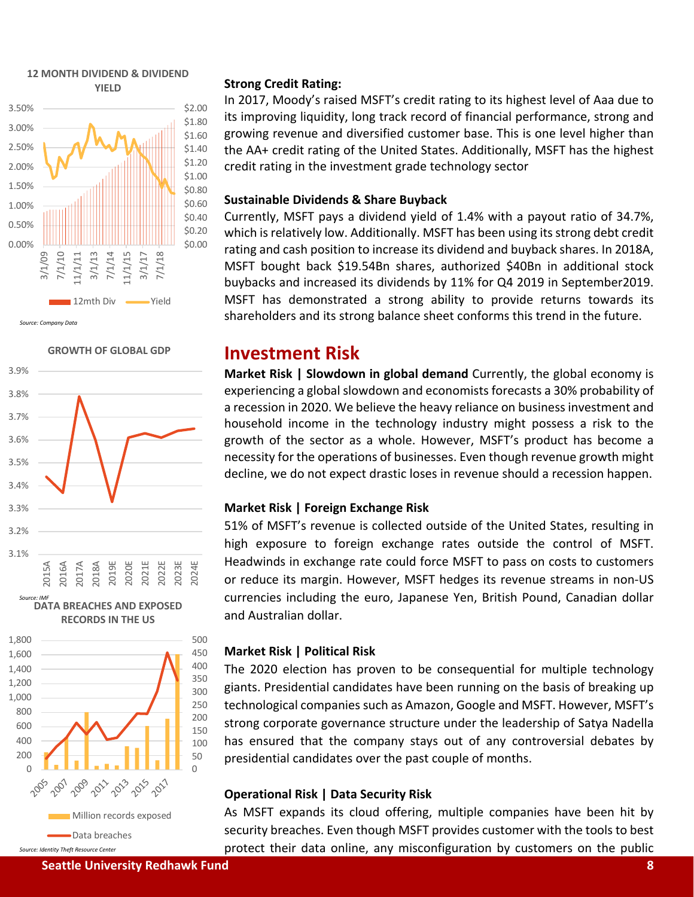

*Source: Company Data*

**GROWTH OF GLOBAL GDP**



**DATA BREACHES AND EXPOSED RECORDS IN THE US**



*Source: Identity Theft Resource Center*

#### **Strong Credit Rating:**

In 2017, Moody's raised MSFT's credit rating to its highest level of Aaa due to its improving liquidity, long track record of financial performance, strong and growing revenue and diversified customer base. This is one level higher than the AA+ credit rating of the United States. Additionally, MSFT has the highest credit rating in the investment grade technology sector

#### **Sustainable Dividends & Share Buyback**

Currently, MSFT pays a dividend yield of 1.4% with a payout ratio of 34.7%, which is relatively low. Additionally. MSFT has been using its strong debt credit rating and cash position to increase its dividend and buyback shares. In 2018A, MSFT bought back \$19.54Bn shares, authorized \$40Bn in additional stock buybacks and increased its dividends by 11% for Q4 2019 in September2019. MSFT has demonstrated a strong ability to provide returns towards its shareholders and its strong balance sheet conforms this trend in the future.

### **Investment Risk**

**Market Risk | Slowdown in global demand** Currently, the global economy is experiencing a global slowdown and economists forecasts a 30% probability of a recession in 2020. We believe the heavy reliance on business investment and household income in the technology industry might possess a risk to the growth of the sector as a whole. However, MSFT's product has become a necessity for the operations of businesses. Even though revenue growth might decline, we do not expect drastic loses in revenue should a recession happen.

#### **Market Risk | Foreign Exchange Risk**

51% of MSFT's revenue is collected outside of the United States, resulting in high exposure to foreign exchange rates outside the control of MSFT. Headwinds in exchange rate could force MSFT to pass on costs to customers or reduce its margin. However, MSFT hedges its revenue streams in non-US currencies including the euro, Japanese Yen, British Pound, Canadian dollar and Australian dollar.

#### **Market Risk | Political Risk**

The 2020 election has proven to be consequential for multiple technology giants. Presidential candidates have been running on the basis of breaking up technological companies such as Amazon, Google and MSFT. However, MSFT's strong corporate governance structure under the leadership of Satya Nadella has ensured that the company stays out of any controversial debates by presidential candidates over the past couple of months.

#### **Operational Risk | Data Security Risk**

As MSFT expands its cloud offering, multiple companies have been hit by security breaches. Even though MSFT provides customer with the tools to best protect their data online, any misconfiguration by customers on the public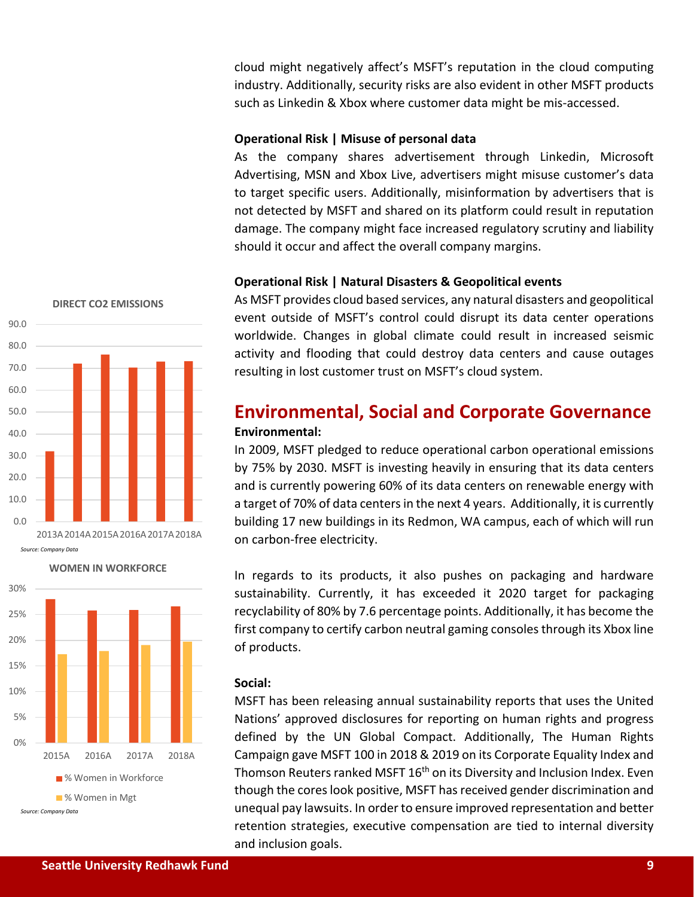cloud might negatively affect's MSFT's reputation in the cloud computing industry. Additionally, security risks are also evident in other MSFT products such as Linkedin & Xbox where customer data might be mis-accessed.

#### **Operational Risk | Misuse of personal data**

As the company shares advertisement through Linkedin, Microsoft Advertising, MSN and Xbox Live, advertisers might misuse customer's data to target specific users. Additionally, misinformation by advertisers that is not detected by MSFT and shared on its platform could result in reputation damage. The company might face increased regulatory scrutiny and liability should it occur and affect the overall company margins.

#### **Operational Risk | Natural Disasters & Geopolitical events**

As MSFT provides cloud based services, any natural disasters and geopolitical event outside of MSFT's control could disrupt its data center operations worldwide. Changes in global climate could result in increased seismic activity and flooding that could destroy data centers and cause outages resulting in lost customer trust on MSFT's cloud system.

## **Environmental, Social and Corporate Governance Environmental:**

In 2009, MSFT pledged to reduce operational carbon operational emissions by 75% by 2030. MSFT is investing heavily in ensuring that its data centers and is currently powering 60% of its data centers on renewable energy with a target of 70% of data centers in the next 4 years. Additionally, it is currently building 17 new buildings in its Redmon, WA campus, each of which will run on carbon-free electricity.

In regards to its products, it also pushes on packaging and hardware sustainability. Currently, it has exceeded it 2020 target for packaging recyclability of 80% by 7.6 percentage points. Additionally, it has become the first company to certify carbon neutral gaming consoles through its Xbox line of products.

#### **Social:**

MSFT has been releasing annual sustainability reports that uses the United Nations' approved disclosures for reporting on human rights and progress defined by the UN Global Compact. Additionally, The Human Rights Campaign gave MSFT 100 in 2018 & 2019 on its Corporate Equality Index and Thomson Reuters ranked MSFT 16<sup>th</sup> on its Diversity and Inclusion Index. Even though the cores look positive, MSFT has received gender discrimination and unequal pay lawsuits. In order to ensure improved representation and better retention strategies, executive compensation are tied to internal diversity and inclusion goals.



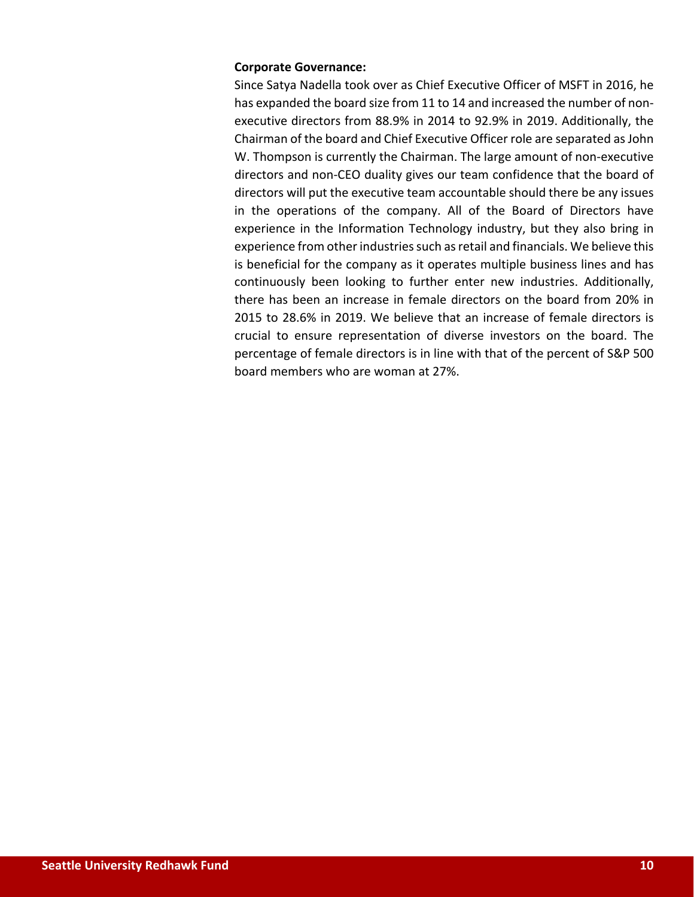#### **Corporate Governance:**

Since Satya Nadella took over as Chief Executive Officer of MSFT in 2016, he has expanded the board size from 11 to 14 and increased the number of nonexecutive directors from 88.9% in 2014 to 92.9% in 2019. Additionally, the Chairman of the board and Chief Executive Officer role are separated as John W. Thompson is currently the Chairman. The large amount of non-executive directors and non-CEO duality gives our team confidence that the board of directors will put the executive team accountable should there be any issues in the operations of the company. All of the Board of Directors have experience in the Information Technology industry, but they also bring in experience from other industries such as retail and financials. We believe this is beneficial for the company as it operates multiple business lines and has continuously been looking to further enter new industries. Additionally, there has been an increase in female directors on the board from 20% in 2015 to 28.6% in 2019. We believe that an increase of female directors is crucial to ensure representation of diverse investors on the board. The percentage of female directors is in line with that of the percent of S&P 500 board members who are woman at 27%.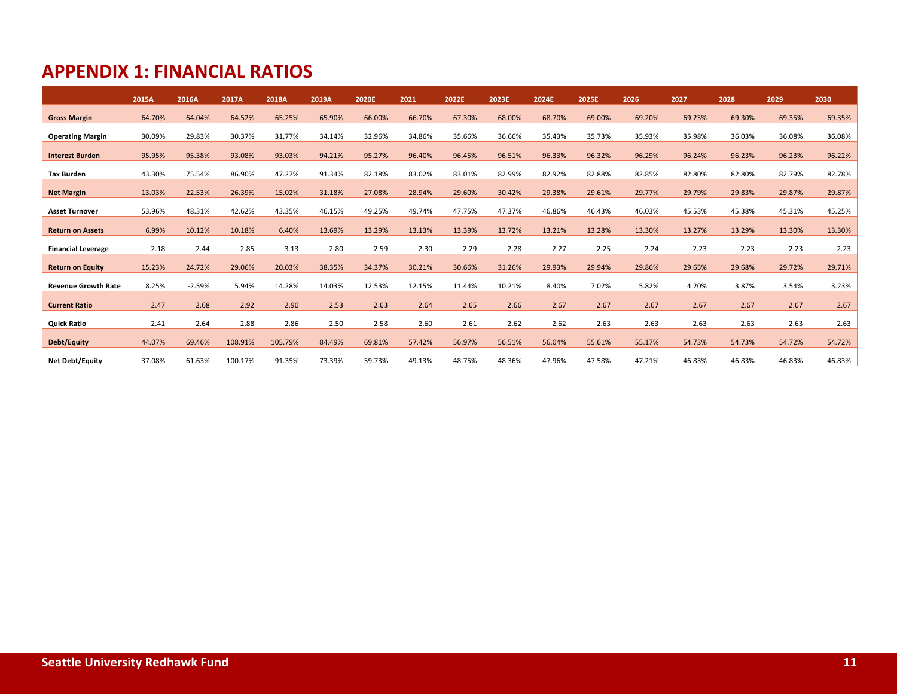## **APPENDIX 1: FINANCIAL RATIOS**

|                            | 2015A  | 2016A    | 2017A   | 2018A   | 2019A  | 2020E  | 2021   | 2022E  | 2023E  | 2024E  | 2025E  | 2026   | 2027   | 2028   | 2029   | 2030   |
|----------------------------|--------|----------|---------|---------|--------|--------|--------|--------|--------|--------|--------|--------|--------|--------|--------|--------|
| <b>Gross Margin</b>        | 64.70% | 64.04%   | 64.52%  | 65.25%  | 65.90% | 66.00% | 66.70% | 67.30% | 68.00% | 68.70% | 69.00% | 69.20% | 69.25% | 69.30% | 69.35% | 69.35% |
| <b>Operating Margin</b>    | 30.09% | 29.83%   | 30.37%  | 31.77%  | 34.14% | 32.96% | 34.86% | 35.66% | 36.66% | 35.43% | 35.73% | 35.93% | 35.98% | 36.03% | 36.08% | 36.08% |
| <b>Interest Burden</b>     | 95.95% | 95.38%   | 93.08%  | 93.03%  | 94.21% | 95.27% | 96.40% | 96.45% | 96.51% | 96.33% | 96.32% | 96.29% | 96.24% | 96.23% | 96.23% | 96.22% |
| <b>Tax Burden</b>          | 43.30% | 75.54%   | 86.90%  | 47.27%  | 91.34% | 82.18% | 83.02% | 83.01% | 82.99% | 82.92% | 82.88% | 82.85% | 82.80% | 82.80% | 82.79% | 82.78% |
| <b>Net Margin</b>          | 13.03% | 22.53%   | 26.39%  | 15.02%  | 31.18% | 27.08% | 28.94% | 29.60% | 30.42% | 29.38% | 29.61% | 29.77% | 29.79% | 29.83% | 29.87% | 29.87% |
| <b>Asset Turnover</b>      | 53.96% | 48.31%   | 42.62%  | 43.35%  | 46.15% | 49.25% | 49.74% | 47.75% | 47.37% | 46.86% | 46.43% | 46.03% | 45.53% | 45.38% | 45.31% | 45.25% |
|                            |        |          |         |         |        |        |        |        |        |        |        |        |        |        |        |        |
| <b>Return on Assets</b>    | 6.99%  | 10.12%   | 10.18%  | 6.40%   | 13.69% | 13.29% | 13.13% | 13.39% | 13.72% | 13.21% | 13.28% | 13.30% | 13.27% | 13.29% | 13.30% | 13.30% |
| <b>Financial Leverage</b>  | 2.18   | 2.44     | 2.85    | 3.13    | 2.80   | 2.59   | 2.30   | 2.29   | 2.28   | 2.27   | 2.25   | 2.24   | 2.23   | 2.23   | 2.23   | 2.23   |
| <b>Return on Equity</b>    | 15.23% | 24.72%   | 29.06%  | 20.03%  | 38.35% | 34.37% | 30.21% | 30.66% | 31.26% | 29.93% | 29.94% | 29.86% | 29.65% | 29.68% | 29.72% | 29.71% |
| <b>Revenue Growth Rate</b> | 8.25%  | $-2.59%$ | 5.94%   | 14.28%  | 14.03% | 12.53% | 12.15% | 11.44% | 10.21% | 8.40%  | 7.02%  | 5.82%  | 4.20%  | 3.87%  | 3.54%  | 3.23%  |
| <b>Current Ratio</b>       | 2.47   | 2.68     | 2.92    | 2.90    | 2.53   | 2.63   | 2.64   | 2.65   | 2.66   | 2.67   | 2.67   | 2.67   | 2.67   | 2.67   | 2.67   | 2.67   |
| <b>Quick Ratio</b>         | 2.41   | 2.64     | 2.88    | 2.86    | 2.50   | 2.58   | 2.60   | 2.61   | 2.62   | 2.62   | 2.63   | 2.63   | 2.63   | 2.63   | 2.63   | 2.63   |
| Debt/Equity                | 44.07% | 69.46%   | 108.91% | 105.79% | 84.49% | 69.81% | 57.42% | 56.97% | 56.51% | 56.04% | 55.61% | 55.17% | 54.73% | 54.73% | 54.72% | 54.72% |
| <b>Net Debt/Equity</b>     | 37.08% | 61.63%   | 100.17% | 91.35%  | 73.39% | 59.73% | 49.13% | 48.75% | 48.36% | 47.96% | 47.58% | 47.21% | 46.83% | 46.83% | 46.83% | 46.83% |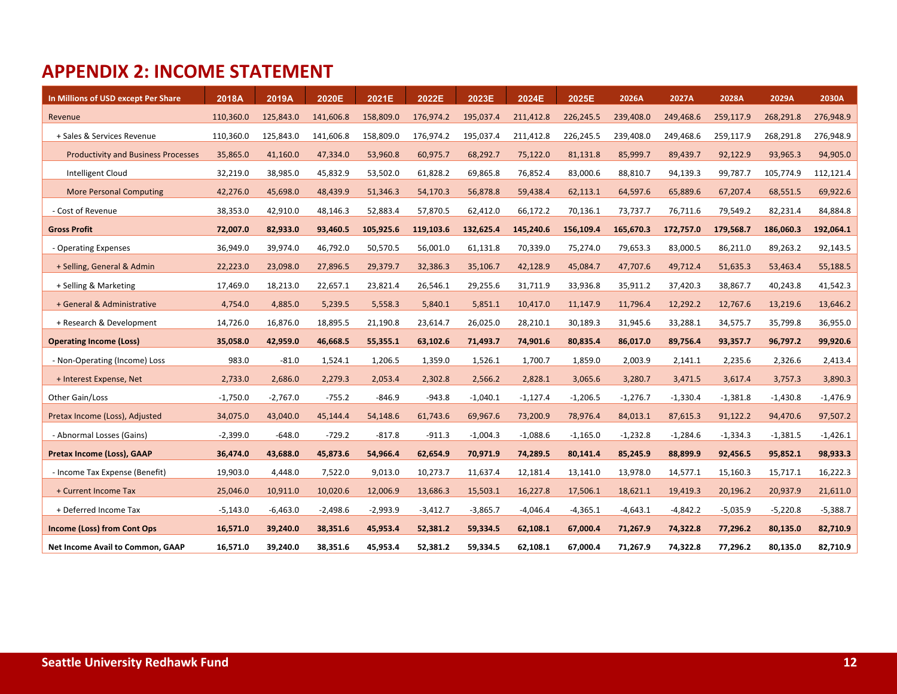# **APPENDIX 2: INCOME STATEMENT**

| In Millions of USD except Per Share        | 2018A      | 2019A      | 2020E      | 2021E      | 2022E      | 2023E      | 2024E      | 2025E      | 2026A      | 2027A      | 2028A      | 2029A      | 2030A      |
|--------------------------------------------|------------|------------|------------|------------|------------|------------|------------|------------|------------|------------|------------|------------|------------|
| Revenue                                    | 110,360.0  | 125,843.0  | 141,606.8  | 158,809.0  | 176,974.2  | 195,037.4  | 211,412.8  | 226,245.5  | 239,408.0  | 249,468.6  | 259,117.9  | 268,291.8  | 276,948.9  |
| + Sales & Services Revenue                 | 110,360.0  | 125,843.0  | 141,606.8  | 158,809.0  | 176,974.2  | 195,037.4  | 211,412.8  | 226,245.5  | 239,408.0  | 249,468.6  | 259,117.9  | 268,291.8  | 276,948.9  |
| <b>Productivity and Business Processes</b> | 35,865.0   | 41,160.0   | 47,334.0   | 53,960.8   | 60,975.7   | 68,292.7   | 75,122.0   | 81,131.8   | 85,999.7   | 89,439.7   | 92,122.9   | 93,965.3   | 94,905.0   |
| Intelligent Cloud                          | 32,219.0   | 38,985.0   | 45,832.9   | 53,502.0   | 61,828.2   | 69,865.8   | 76,852.4   | 83,000.6   | 88,810.7   | 94,139.3   | 99,787.7   | 105,774.9  | 112,121.4  |
| <b>More Personal Computing</b>             | 42,276.0   | 45,698.0   | 48,439.9   | 51,346.3   | 54,170.3   | 56,878.8   | 59,438.4   | 62,113.1   | 64,597.6   | 65,889.6   | 67,207.4   | 68,551.5   | 69,922.6   |
| - Cost of Revenue                          | 38,353.0   | 42,910.0   | 48,146.3   | 52,883.4   | 57,870.5   | 62,412.0   | 66,172.2   | 70,136.1   | 73,737.7   | 76,711.6   | 79,549.2   | 82,231.4   | 84,884.8   |
| <b>Gross Profit</b>                        | 72,007.0   | 82,933.0   | 93,460.5   | 105,925.6  | 119,103.6  | 132,625.4  | 145,240.6  | 156,109.4  | 165,670.3  | 172,757.0  | 179,568.7  | 186,060.3  | 192,064.1  |
| - Operating Expenses                       | 36,949.0   | 39,974.0   | 46,792.0   | 50,570.5   | 56,001.0   | 61,131.8   | 70,339.0   | 75,274.0   | 79,653.3   | 83,000.5   | 86,211.0   | 89,263.2   | 92,143.5   |
| + Selling, General & Admin                 | 22,223.0   | 23,098.0   | 27,896.5   | 29,379.7   | 32,386.3   | 35,106.7   | 42,128.9   | 45,084.7   | 47,707.6   | 49,712.4   | 51,635.3   | 53,463.4   | 55,188.5   |
| + Selling & Marketing                      | 17,469.0   | 18,213.0   | 22,657.1   | 23,821.4   | 26,546.1   | 29,255.6   | 31,711.9   | 33,936.8   | 35,911.2   | 37,420.3   | 38,867.7   | 40,243.8   | 41,542.3   |
| + General & Administrative                 | 4,754.0    | 4,885.0    | 5,239.5    | 5,558.3    | 5,840.1    | 5,851.1    | 10,417.0   | 11,147.9   | 11,796.4   | 12,292.2   | 12,767.6   | 13,219.6   | 13,646.2   |
| + Research & Development                   | 14,726.0   | 16,876.0   | 18,895.5   | 21,190.8   | 23,614.7   | 26,025.0   | 28,210.1   | 30,189.3   | 31,945.6   | 33,288.1   | 34,575.7   | 35,799.8   | 36,955.0   |
| <b>Operating Income (Loss)</b>             | 35,058.0   | 42,959.0   | 46,668.5   | 55,355.1   | 63,102.6   | 71,493.7   | 74,901.6   | 80,835.4   | 86,017.0   | 89,756.4   | 93,357.7   | 96,797.2   | 99,920.6   |
| - Non-Operating (Income) Loss              | 983.0      | $-81.0$    | 1,524.1    | 1,206.5    | 1,359.0    | 1,526.1    | 1,700.7    | 1,859.0    | 2,003.9    | 2,141.1    | 2,235.6    | 2,326.6    | 2,413.4    |
| + Interest Expense, Net                    | 2,733.0    | 2,686.0    | 2,279.3    | 2,053.4    | 2,302.8    | 2,566.2    | 2,828.1    | 3,065.6    | 3,280.7    | 3,471.5    | 3,617.4    | 3,757.3    | 3,890.3    |
| Other Gain/Loss                            | $-1,750.0$ | $-2,767.0$ | $-755.2$   | $-846.9$   | $-943.8$   | $-1,040.1$ | $-1,127.4$ | $-1,206.5$ | $-1,276.7$ | $-1,330.4$ | $-1,381.8$ | $-1,430.8$ | $-1,476.9$ |
| Pretax Income (Loss), Adjusted             | 34,075.0   | 43,040.0   | 45,144.4   | 54,148.6   | 61,743.6   | 69,967.6   | 73,200.9   | 78,976.4   | 84,013.1   | 87,615.3   | 91,122.2   | 94,470.6   | 97,507.2   |
| - Abnormal Losses (Gains)                  | $-2,399.0$ | $-648.0$   | $-729.2$   | $-817.8$   | $-911.3$   | $-1,004.3$ | $-1,088.6$ | $-1,165.0$ | $-1,232.8$ | $-1,284.6$ | $-1,334.3$ | $-1,381.5$ | $-1,426.1$ |
| Pretax Income (Loss), GAAP                 | 36,474.0   | 43,688.0   | 45,873.6   | 54,966.4   | 62,654.9   | 70,971.9   | 74,289.5   | 80,141.4   | 85,245.9   | 88,899.9   | 92,456.5   | 95,852.1   | 98,933.3   |
| - Income Tax Expense (Benefit)             | 19,903.0   | 4,448.0    | 7,522.0    | 9,013.0    | 10,273.7   | 11,637.4   | 12,181.4   | 13,141.0   | 13,978.0   | 14,577.1   | 15,160.3   | 15,717.1   | 16,222.3   |
| + Current Income Tax                       | 25,046.0   | 10,911.0   | 10,020.6   | 12,006.9   | 13,686.3   | 15,503.1   | 16,227.8   | 17,506.1   | 18,621.1   | 19,419.3   | 20,196.2   | 20,937.9   | 21,611.0   |
| + Deferred Income Tax                      | $-5,143.0$ | $-6,463.0$ | $-2,498.6$ | $-2,993.9$ | $-3,412.7$ | $-3,865.7$ | $-4,046.4$ | $-4,365.1$ | $-4,643.1$ | $-4,842.2$ | $-5,035.9$ | $-5,220.8$ | $-5,388.7$ |
| <b>Income (Loss) from Cont Ops</b>         | 16,571.0   | 39,240.0   | 38,351.6   | 45,953.4   | 52,381.2   | 59,334.5   | 62,108.1   | 67,000.4   | 71,267.9   | 74,322.8   | 77,296.2   | 80,135.0   | 82,710.9   |
| Net Income Avail to Common, GAAP           | 16,571.0   | 39,240.0   | 38,351.6   | 45,953.4   | 52,381.2   | 59,334.5   | 62,108.1   | 67,000.4   | 71,267.9   | 74,322.8   | 77,296.2   | 80,135.0   | 82,710.9   |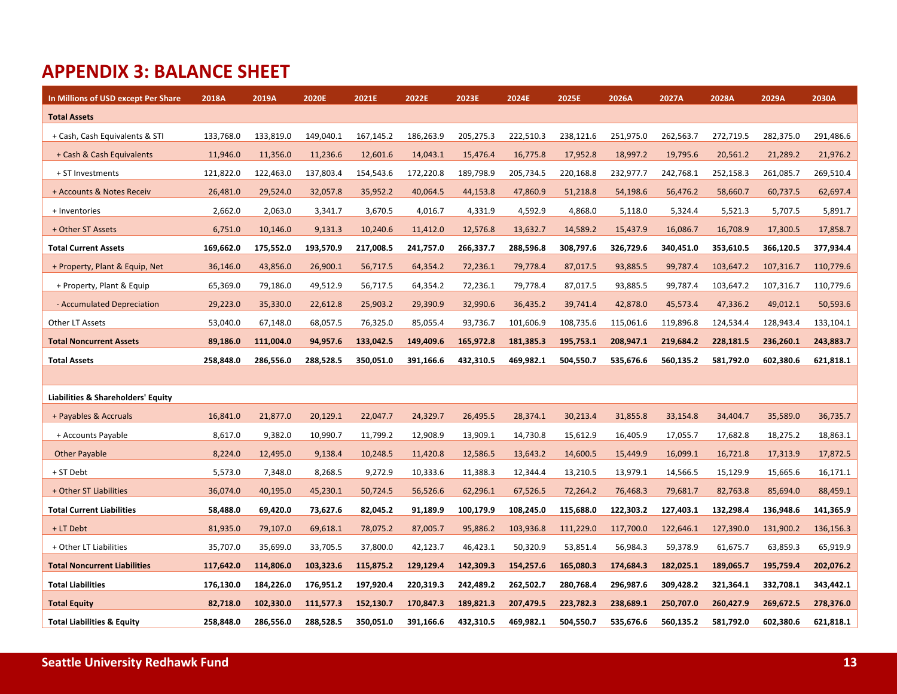## **APPENDIX 3: BALANCE SHEET**

| In Millions of USD except Per Share   | 2018A     | 2019A     | 2020E     | 2021E     | 2022E     | 2023E     | 2024E     | 2025E     | 2026A     | 2027A     | 2028A     | 2029A     | 2030A     |
|---------------------------------------|-----------|-----------|-----------|-----------|-----------|-----------|-----------|-----------|-----------|-----------|-----------|-----------|-----------|
| <b>Total Assets</b>                   |           |           |           |           |           |           |           |           |           |           |           |           |           |
| + Cash, Cash Equivalents & STI        | 133,768.0 | 133,819.0 | 149,040.1 | 167,145.2 | 186,263.9 | 205,275.3 | 222,510.3 | 238,121.6 | 251,975.0 | 262,563.7 | 272,719.5 | 282,375.0 | 291,486.6 |
| + Cash & Cash Equivalents             | 11,946.0  | 11,356.0  | 11,236.6  | 12,601.6  | 14,043.1  | 15,476.4  | 16,775.8  | 17,952.8  | 18,997.2  | 19,795.6  | 20,561.2  | 21,289.2  | 21,976.2  |
| + ST Investments                      | 121,822.0 | 122,463.0 | 137,803.4 | 154,543.6 | 172,220.8 | 189,798.9 | 205,734.5 | 220,168.8 | 232,977.7 | 242,768.1 | 252,158.3 | 261,085.7 | 269,510.4 |
| + Accounts & Notes Receiv             | 26,481.0  | 29,524.0  | 32,057.8  | 35,952.2  | 40,064.5  | 44,153.8  | 47,860.9  | 51,218.8  | 54,198.6  | 56,476.2  | 58,660.7  | 60,737.5  | 62,697.4  |
| + Inventories                         | 2,662.0   | 2,063.0   | 3,341.7   | 3,670.5   | 4,016.7   | 4,331.9   | 4,592.9   | 4,868.0   | 5,118.0   | 5,324.4   | 5,521.3   | 5,707.5   | 5,891.7   |
| + Other ST Assets                     | 6,751.0   | 10,146.0  | 9,131.3   | 10,240.6  | 11,412.0  | 12,576.8  | 13,632.7  | 14,589.2  | 15,437.9  | 16,086.7  | 16,708.9  | 17,300.5  | 17,858.7  |
| <b>Total Current Assets</b>           | 169,662.0 | 175,552.0 | 193,570.9 | 217,008.5 | 241,757.0 | 266,337.7 | 288,596.8 | 308,797.6 | 326,729.6 | 340,451.0 | 353,610.5 | 366,120.5 | 377,934.4 |
| + Property, Plant & Equip, Net        | 36,146.0  | 43,856.0  | 26,900.1  | 56,717.5  | 64,354.2  | 72,236.1  | 79,778.4  | 87,017.5  | 93,885.5  | 99,787.4  | 103,647.2 | 107,316.7 | 110,779.6 |
| + Property, Plant & Equip             | 65,369.0  | 79,186.0  | 49,512.9  | 56,717.5  | 64,354.2  | 72,236.1  | 79,778.4  | 87,017.5  | 93,885.5  | 99,787.4  | 103,647.2 | 107,316.7 | 110,779.6 |
| - Accumulated Depreciation            | 29,223.0  | 35,330.0  | 22,612.8  | 25,903.2  | 29,390.9  | 32,990.6  | 36,435.2  | 39,741.4  | 42,878.0  | 45,573.4  | 47,336.2  | 49,012.1  | 50,593.6  |
| Other LT Assets                       | 53,040.0  | 67,148.0  | 68,057.5  | 76,325.0  | 85,055.4  | 93,736.7  | 101,606.9 | 108,735.6 | 115,061.6 | 119,896.8 | 124,534.4 | 128,943.4 | 133,104.1 |
| <b>Total Noncurrent Assets</b>        | 89,186.0  | 111,004.0 | 94,957.6  | 133,042.5 | 149,409.6 | 165,972.8 | 181,385.3 | 195,753.1 | 208,947.1 | 219,684.2 | 228,181.5 | 236,260.1 | 243,883.7 |
| <b>Total Assets</b>                   | 258,848.0 | 286,556.0 | 288,528.5 | 350,051.0 | 391,166.6 | 432,310.5 | 469,982.1 | 504,550.7 | 535,676.6 | 560,135.2 | 581,792.0 | 602,380.6 | 621,818.1 |
|                                       |           |           |           |           |           |           |           |           |           |           |           |           |           |
| Liabilities & Shareholders' Equity    |           |           |           |           |           |           |           |           |           |           |           |           |           |
| + Payables & Accruals                 | 16,841.0  | 21,877.0  | 20,129.1  | 22,047.7  | 24,329.7  | 26,495.5  | 28,374.1  | 30,213.4  | 31,855.8  | 33,154.8  | 34,404.7  | 35,589.0  | 36,735.7  |
| + Accounts Payable                    | 8,617.0   | 9,382.0   | 10,990.7  | 11,799.2  | 12,908.9  | 13,909.1  | 14,730.8  | 15,612.9  | 16,405.9  | 17,055.7  | 17,682.8  | 18,275.2  | 18,863.1  |
| <b>Other Payable</b>                  | 8,224.0   | 12,495.0  | 9,138.4   | 10,248.5  | 11,420.8  | 12,586.5  | 13,643.2  | 14,600.5  | 15,449.9  | 16,099.1  | 16,721.8  | 17,313.9  | 17,872.5  |
| + ST Debt                             | 5,573.0   | 7,348.0   | 8,268.5   | 9,272.9   | 10,333.6  | 11,388.3  | 12,344.4  | 13,210.5  | 13,979.1  | 14,566.5  | 15,129.9  | 15,665.6  | 16,171.1  |
| + Other ST Liabilities                | 36,074.0  | 40,195.0  | 45,230.1  | 50,724.5  | 56,526.6  | 62,296.1  | 67,526.5  | 72,264.2  | 76,468.3  | 79,681.7  | 82,763.8  | 85,694.0  | 88,459.1  |
| <b>Total Current Liabilities</b>      | 58,488.0  | 69,420.0  | 73,627.6  | 82,045.2  | 91,189.9  | 100,179.9 | 108,245.0 | 115,688.0 | 122,303.2 | 127,403.1 | 132,298.4 | 136,948.6 | 141,365.9 |
| + LT Debt                             | 81,935.0  | 79,107.0  | 69,618.1  | 78,075.2  | 87,005.7  | 95,886.2  | 103,936.8 | 111,229.0 | 117,700.0 | 122,646.1 | 127,390.0 | 131,900.2 | 136,156.3 |
| + Other LT Liabilities                | 35,707.0  | 35,699.0  | 33,705.5  | 37,800.0  | 42,123.7  | 46,423.1  | 50,320.9  | 53,851.4  | 56,984.3  | 59,378.9  | 61,675.7  | 63,859.3  | 65,919.9  |
| <b>Total Noncurrent Liabilities</b>   | 117,642.0 | 114,806.0 | 103,323.6 | 115,875.2 | 129,129.4 | 142,309.3 | 154,257.6 | 165,080.3 | 174,684.3 | 182,025.1 | 189,065.7 | 195,759.4 | 202,076.2 |
| <b>Total Liabilities</b>              | 176,130.0 | 184,226.0 | 176,951.2 | 197,920.4 | 220,319.3 | 242,489.2 | 262,502.7 | 280,768.4 | 296,987.6 | 309,428.2 | 321,364.1 | 332,708.1 | 343,442.1 |
| <b>Total Equity</b>                   | 82,718.0  | 102,330.0 | 111,577.3 | 152,130.7 | 170,847.3 | 189,821.3 | 207,479.5 | 223,782.3 | 238,689.1 | 250,707.0 | 260,427.9 | 269,672.5 | 278,376.0 |
| <b>Total Liabilities &amp; Equity</b> | 258,848.0 | 286,556.0 | 288,528.5 | 350,051.0 | 391,166.6 | 432,310.5 | 469,982.1 | 504,550.7 | 535,676.6 | 560,135.2 | 581,792.0 | 602,380.6 | 621,818.1 |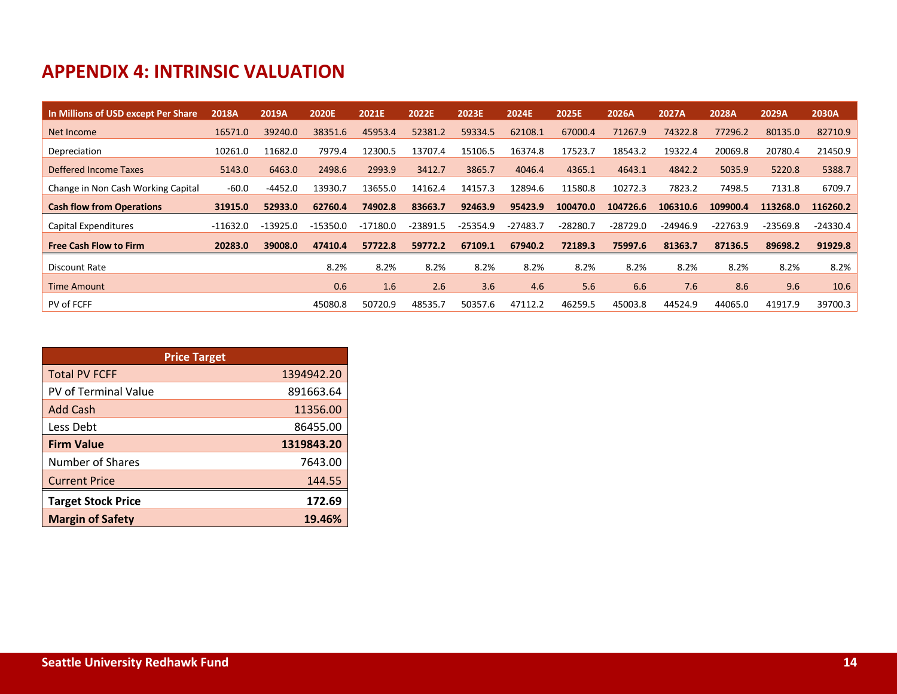## **APPENDIX 4: INTRINSIC VALUATION**

| In Millions of USD except Per Share | 2018A      | 2019A      | 2020E      | 2021E      | 2022E      | 2023E      | 2024E      | 2025E      | 2026A      | 2027A      | 2028A      | 2029A      | 2030A      |
|-------------------------------------|------------|------------|------------|------------|------------|------------|------------|------------|------------|------------|------------|------------|------------|
| Net Income                          | 16571.0    | 39240.0    | 38351.6    | 45953.4    | 52381.2    | 59334.5    | 62108.1    | 67000.4    | 71267.9    | 74322.8    | 77296.2    | 80135.0    | 82710.9    |
| Depreciation                        | 10261.0    | 11682.0    | 7979.4     | 12300.5    | 13707.4    | 15106.5    | 16374.8    | 17523.7    | 18543.2    | 19322.4    | 20069.8    | 20780.4    | 21450.9    |
| Deffered Income Taxes               | 5143.0     | 6463.0     | 2498.6     | 2993.9     | 3412.7     | 3865.7     | 4046.4     | 4365.1     | 4643.1     | 4842.2     | 5035.9     | 5220.8     | 5388.7     |
| Change in Non Cash Working Capital  | $-60.0$    | $-4452.0$  | 13930.7    | 13655.0    | 14162.4    | 14157.3    | 12894.6    | 11580.8    | 10272.3    | 7823.2     | 7498.5     | 7131.8     | 6709.7     |
| <b>Cash flow from Operations</b>    | 31915.0    | 52933.0    | 62760.4    | 74902.8    | 83663.7    | 92463.9    | 95423.9    | 100470.0   | 104726.6   | 106310.6   | 109900.4   | 113268.0   | 116260.2   |
| Capital Expenditures                | $-11632.0$ | $-13925.0$ | $-15350.0$ | $-17180.0$ | $-23891.5$ | $-25354.9$ | $-27483.7$ | $-28280.7$ | $-28729.0$ | $-24946.9$ | $-22763.9$ | $-23569.8$ | $-24330.4$ |
| <b>Free Cash Flow to Firm</b>       | 20283.0    | 39008.0    | 47410.4    | 57722.8    | 59772.2    | 67109.1    | 67940.2    | 72189.3    | 75997.6    | 81363.7    | 87136.5    | 89698.2    | 91929.8    |
|                                     |            |            |            |            |            |            |            |            |            |            |            |            |            |
| Discount Rate                       |            |            | 8.2%       | 8.2%       | 8.2%       | 8.2%       | 8.2%       | 8.2%       | 8.2%       | 8.2%       | 8.2%       | 8.2%       | 8.2%       |
| <b>Time Amount</b>                  |            |            | 0.6        | 1.6        | 2.6        | 3.6        | 4.6        | 5.6        | 6.6        | 7.6        | 8.6        | 9.6        | 10.6       |
| PV of FCFF                          |            |            | 45080.8    | 50720.9    | 48535.7    | 50357.6    | 47112.2    | 46259.5    | 45003.8    | 44524.9    | 44065.0    | 41917.9    | 39700.3    |

| <b>Price Target</b>       |            |
|---------------------------|------------|
| <b>Total PV FCFF</b>      | 1394942.20 |
| PV of Terminal Value      | 891663.64  |
| Add Cash                  | 11356.00   |
| Less Debt                 | 86455.00   |
| <b>Firm Value</b>         | 1319843.20 |
| Number of Shares          | 7643.00    |
| <b>Current Price</b>      | 144.55     |
| <b>Target Stock Price</b> | 172.69     |
| <b>Margin of Safety</b>   | 19.46%     |